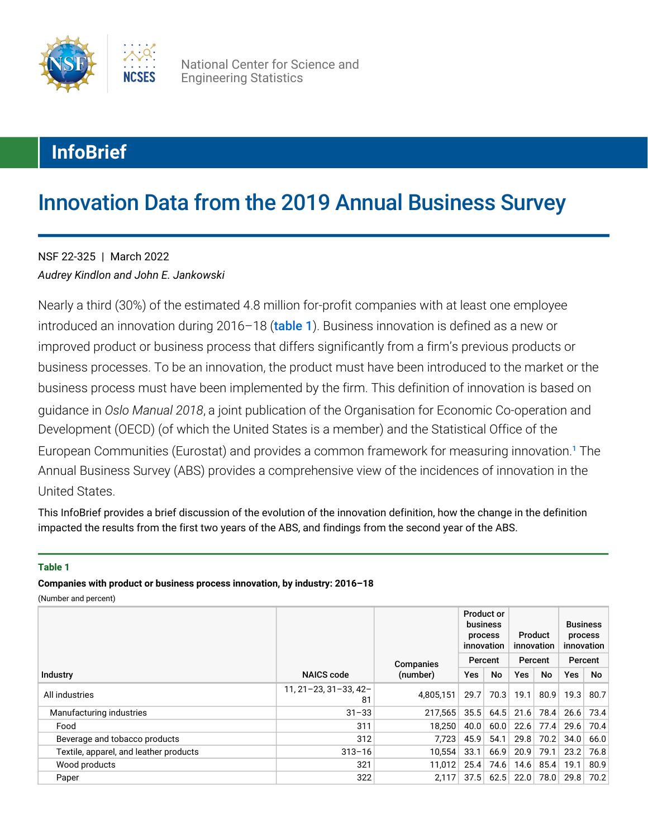

National Center for Science and Engineering Statistics

# **InfoBrief**

# Innovation Data from the 2019 Annual Business Survey

*Audrey Kindlon and John E. Jankowski* NSF 22-325 | March 2022

Nearly a third (30%) of the estimated 4.8 million for-profit companies with at least one employee introduced an innovation during 2016–18 ([table 1](#page-0-0)). Business innovation is defined as a new or improved product or business process that differs significantly from a firm's previous products or business processes. To be an innovation, the product must have been introduced to the market or the business process must have been implemented by the firm. This definition of innovation is based on guidance in *Oslo Manual 2018*, a joint publication of the Organisation for Economic Co-operation and Development (OECD) (of which the United States is a member) and the Statistical Office of the European Communities (Eurostat) and provides a common framework for measuring innovation.<sup>[1](#page-10-0)</sup> The Annual Business Survey (ABS) provides a comprehensive view of the incidences of innovation in the United States.

<span id="page-0-1"></span>This InfoBrief provides a brief discussion of the evolution of the innovation definition, how the change in the definition impacted the results from the first two years of the ABS, and findings from the second year of the ABS.

#### <span id="page-0-0"></span>**Table 1**

**Companies with product or business process innovation, by industry: 2016–18**

|                                        |                                    |                       | <b>Product or</b><br>business<br>process<br>innovation<br>Percent<br>No<br>Yes |      | Product<br>innovation<br>Percent |      | <b>Business</b><br>process<br>innovation |                      |
|----------------------------------------|------------------------------------|-----------------------|--------------------------------------------------------------------------------|------|----------------------------------|------|------------------------------------------|----------------------|
| Industry                               | <b>NAICS</b> code                  | Companies<br>(number) |                                                                                |      | Yes                              | No.  | Yes                                      | Percent<br><b>No</b> |
| All industries                         | $11, 21 - 23, 31 - 33, 42 -$<br>81 | 4.805.151             | 29.7                                                                           | 70.3 | 19.1                             | 80.9 | 19.3                                     | 80.7                 |
| Manufacturing industries               | $31 - 33$                          | 217.565               | 35.5                                                                           | 64.5 | 21.6                             | 78.4 | 26.6                                     | 73.4                 |
| Food                                   | 311                                | 18.250                | 40.0                                                                           | 60.0 | 22.6                             | 77.4 | 29.6                                     | 70.4                 |
| Beverage and tobacco products          | 312                                | 7.723                 | 45.9                                                                           | 54.1 | 29.8                             | 70.2 | 34.0                                     | 66.0                 |
| Textile, apparel, and leather products | $313 - 16$                         | 10,554                | 33.1                                                                           | 66.9 | 20.9                             | 79.1 | 23.2                                     | 76.8                 |
| Wood products                          | 321                                | 11.012                | 25.4                                                                           | 74.6 | 14.6                             | 85.4 | 19.1                                     | 80.9                 |
| Paper                                  | 322                                | 2.117                 | 37.5                                                                           | 62.5 | 22.0                             | 78.0 | 29.8                                     | 70.2                 |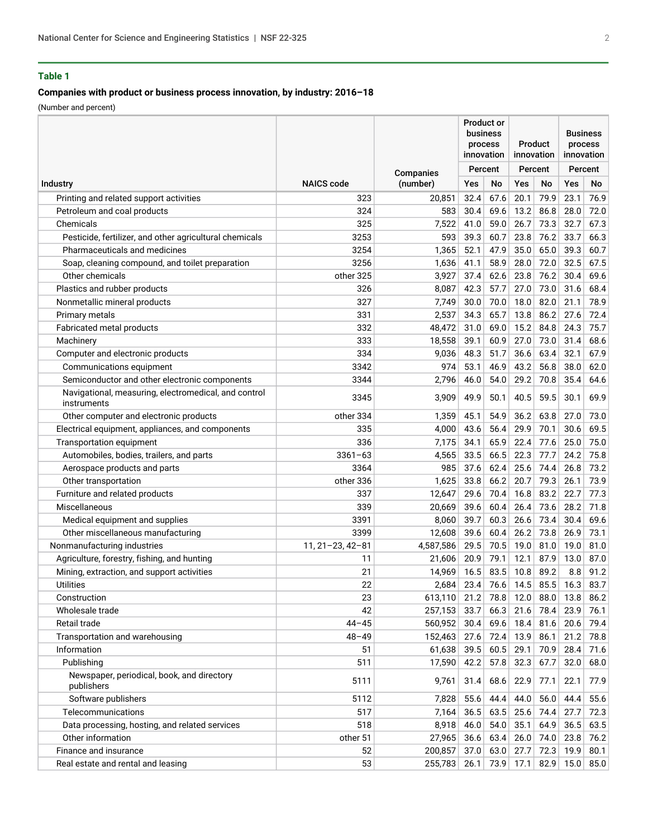#### **Companies with product or business process innovation, by industry: 2016–18**

|                                                                     |                        |           | Product or<br>business<br>process<br>innovation |         | <b>Product</b><br>innovation |             | <b>Business</b><br>process<br>innovation |             |
|---------------------------------------------------------------------|------------------------|-----------|-------------------------------------------------|---------|------------------------------|-------------|------------------------------------------|-------------|
|                                                                     |                        | Companies |                                                 | Percent |                              | Percent     |                                          | Percent     |
| Industry                                                            | <b>NAICS code</b>      | (number)  | Yes                                             | No      | <b>Yes</b>                   | No          | Yes                                      | No          |
| Printing and related support activities                             | 323                    | 20,851    | 32.4                                            | 67.6    | 20.1                         | 79.9        | 23.1                                     | 76.9        |
| Petroleum and coal products                                         | 324                    | 583       | 30.4                                            | 69.6    | 13.2                         | 86.8        | 28.0                                     | 72.0        |
| Chemicals                                                           | 325                    | 7,522     | 41.0                                            | 59.0    | 26.7                         | 73.3        | 32.7                                     | 67.3        |
| Pesticide, fertilizer, and other agricultural chemicals             | 3253                   | 593       | 39.3                                            | 60.7    | 23.8                         | 76.2        | 33.7                                     | 66.3        |
| Pharmaceuticals and medicines                                       | 3254                   | 1,365     | 52.1                                            | 47.9    | 35.0                         | 65.0        | 39.3                                     | 60.7        |
| Soap, cleaning compound, and toilet preparation                     | 3256                   | 1,636     | 41.1                                            | 58.9    | 28.0                         | 72.0        | 32.5                                     | 67.5        |
| Other chemicals                                                     | other 325              | 3,927     | 37.4                                            | 62.6    | 23.8                         | 76.2        | 30.4                                     | 69.6        |
| Plastics and rubber products                                        | 326                    | 8,087     | 42.3                                            | 57.7    | 27.0                         | 73.0        | 31.6                                     | 68.4        |
| Nonmetallic mineral products                                        | 327                    | 7,749     | 30.0                                            | 70.0    | 18.0                         | 82.0        | 21.1                                     | 78.9        |
| Primary metals                                                      | 331                    | 2,537     | 34.3                                            | 65.7    | 13.8                         | 86.2        | 27.6                                     | 72.4        |
| Fabricated metal products                                           | 332                    | 48,472    | 31.0                                            | 69.0    | 15.2                         | 84.8        | 24.3                                     | 75.7        |
| Machinery                                                           | 333                    | 18,558    | 39.1                                            | 60.9    | 27.0                         | 73.0        | 31.4                                     | 68.6        |
| Computer and electronic products                                    | 334                    | 9,036     | 48.3                                            | 51.7    | 36.6                         | 63.4        | 32.1                                     | 67.9        |
| Communications equipment                                            | 3342                   | 974       | 53.1                                            | 46.9    | 43.2                         | 56.8        | 38.0                                     | 62.0        |
| Semiconductor and other electronic components                       | 3344                   | 2,796     | 46.0                                            | 54.0    | 29.2                         | 70.8        | 35.4                                     | 64.6        |
| Navigational, measuring, electromedical, and control<br>instruments | 3345                   | 3,909     | 49.9                                            | 50.1    | 40.5                         | 59.5        | 30.1                                     | 69.9        |
| Other computer and electronic products                              | other 334              | 1,359     | 45.1                                            | 54.9    | 36.2                         | 63.8        | 27.0                                     | 73.0        |
| Electrical equipment, appliances, and components                    | 335                    | 4,000     | 43.6                                            | 56.4    | 29.9                         | 70.1        | 30.6                                     | 69.5        |
| <b>Transportation equipment</b>                                     | 336                    | 7,175     | 34.1                                            | 65.9    | 22.4                         | 77.6        | 25.0                                     | 75.0        |
| Automobiles, bodies, trailers, and parts                            | $3361 - 63$            | 4,565     | 33.5                                            | 66.5    | 22.3                         | 77.7        | 24.2                                     | 75.8        |
| Aerospace products and parts                                        | 3364                   | 985       | 37.6                                            | 62.4    | 25.6                         | 74.4        | 26.8                                     | 73.2        |
| Other transportation                                                | other 336              | 1,625     | 33.8                                            | 66.2    | 20.7                         | 79.3        | 26.1                                     | 73.9        |
| Furniture and related products                                      | 337                    | 12,647    | 29.6                                            | 70.4    | 16.8                         | 83.2        | 22.7                                     | 77.3        |
| Miscellaneous                                                       | 339                    | 20,669    | 39.6                                            | 60.4    | 26.4                         | 73.6        | 28.2                                     | 71.8        |
| Medical equipment and supplies                                      | 3391                   | 8,060     | 39.7                                            | 60.3    | 26.6                         | 73.4        | 30.4                                     | 69.6        |
| Other miscellaneous manufacturing                                   | 3399                   | 12,608    | 39.6                                            | 60.4    | 26.2                         | 73.8        | 26.9                                     | 73.1        |
| Nonmanufacturing industries                                         | $11, 21 - 23, 42 - 81$ | 4,587,586 | 29.5                                            | 70.5    | 19.0                         | 81.0        | 19.0                                     | 81.0        |
| Agriculture, forestry, fishing, and hunting                         | 11                     | 21,606    | 20.9                                            | 79.1    | 12.1                         | 87.9        | 13.0                                     | 87.0        |
| Mining, extraction, and support activities                          | 21                     | 14,969    | 16.5                                            | 83.5    | 10.8                         | 89.2        | 8.8                                      | 91.2        |
| <b>Utilities</b>                                                    | 22                     | 2,684     | 23.4                                            | 76.6    | 14.5                         | 85.5        | 16.3                                     | 83.7        |
| Construction                                                        | 23                     | 613,110   | 21.2                                            | 78.8    |                              | $12.0$ 88.0 | 13.8                                     | 86.2        |
| Wholesale trade                                                     | 42                     | 257,153   | 33.7                                            | 66.3    | 21.6                         | 78.4        | 23.9                                     | 76.1        |
| Retail trade                                                        | $44 - 45$              | 560,952   | 30.4                                            |         | $69.6$ 18.4                  | 81.6        | 20.6                                     | 79.4        |
| Transportation and warehousing                                      | $48 - 49$              | 152,463   | 27.6                                            | 72.4    | 13.9                         | 86.1        | 21.2                                     | 78.8        |
| Information                                                         | 51                     | 61,638    | 39.5                                            | 60.5    | 29.1                         | 70.9        | 28.4                                     | 71.6        |
| Publishing                                                          | 511                    | 17,590    | 42.2                                            |         | $57.8$ 32.3                  | 67.7        | 32.0                                     | 68.0        |
| Newspaper, periodical, book, and directory<br>publishers            | 5111                   | 9,761     | 31.4                                            | 68.6    | 22.9                         | 77.1        | 22.1                                     | 77.9        |
| Software publishers                                                 | 5112                   | 7,828     | 55.6                                            | 44.4    | 44.0                         | 56.0        | 44.4                                     | 55.6        |
| Telecommunications                                                  | 517                    | 7,164     | 36.5                                            |         | $63.5$ 25.6                  | 74.4        | 27.7                                     | 72.3        |
| Data processing, hosting, and related services                      | 518                    | 8,918     | 46.0                                            | 54.0    | 35.1                         | 64.9        | 36.5                                     | 63.5        |
| Other information                                                   | other 51               | 27,965    | 36.6                                            | 63.4    | 26.0                         | 74.0        | 23.8                                     | 76.2        |
| Finance and insurance                                               | 52                     | 200,857   | 37.0                                            | 63.0    | 27.7                         | 72.3        | 19.9                                     | 80.1        |
| Real estate and rental and leasing                                  | 53                     | 255,783   | 26.1                                            |         | $73.9$ 17.1                  | 82.9        |                                          | 15.0   85.0 |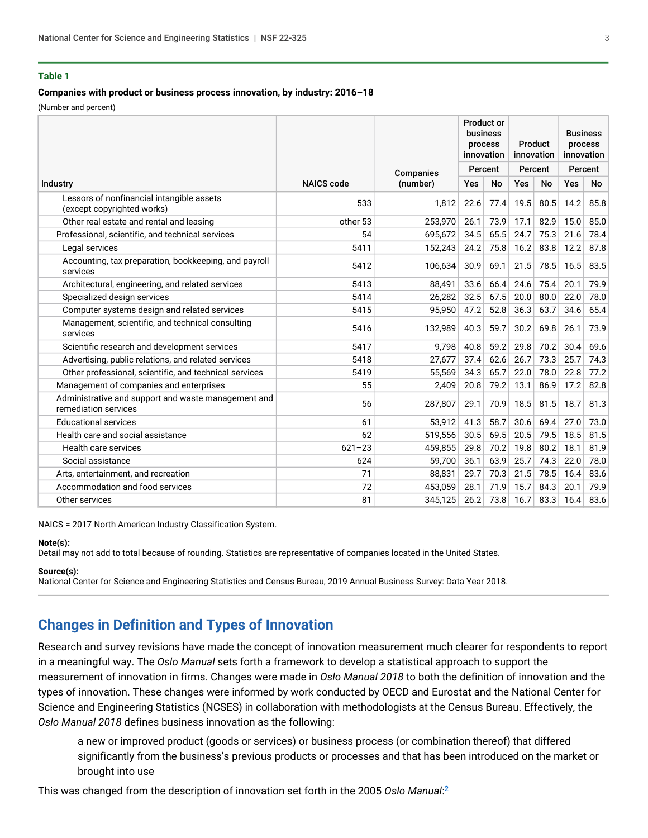#### **Companies with product or business process innovation, by industry: 2016–18**

(Number and percent)

|                                                                             |                   |           | <b>Product or</b><br>business<br>process<br>innovation<br>Percent |           | Product<br>innovation |           | <b>Business</b><br>process<br>innovation |      |
|-----------------------------------------------------------------------------|-------------------|-----------|-------------------------------------------------------------------|-----------|-----------------------|-----------|------------------------------------------|------|
|                                                                             |                   | Companies |                                                                   |           | Percent               |           | Percent                                  |      |
| <b>Industry</b>                                                             | <b>NAICS</b> code | (number)  | Yes                                                               | <b>No</b> | Yes                   | <b>No</b> | Yes                                      | No   |
| Lessors of nonfinancial intangible assets<br>(except copyrighted works)     | 533               | 1.812     | 22.6                                                              | 77.4      | 19.5                  | 80.5      | 14.2                                     | 85.8 |
| Other real estate and rental and leasing                                    | other 53          | 253,970   | 26.1                                                              | 73.9      | 17.1                  | 82.9      | 15.0                                     | 85.0 |
| Professional, scientific, and technical services                            | 54                | 695.672   | 34.5                                                              | 65.5      | 24.7                  | 75.3      | 21.6                                     | 78.4 |
| Legal services                                                              | 5411              | 152,243   | 24.2                                                              | 75.8      | 16.2                  | 83.8      | 12.2                                     | 87.8 |
| Accounting, tax preparation, bookkeeping, and payroll<br>services           | 5412              | 106,634   | 30.9                                                              | 69.1      | 21.5                  | 78.5      | 16.5                                     | 83.5 |
| Architectural, engineering, and related services                            | 5413              | 88,491    | 33.6                                                              | 66.4      | 24.6                  | 75.4      | 20.1                                     | 79.9 |
| Specialized design services                                                 | 5414              | 26,282    | 32.5                                                              | 67.5      | 20.0                  | 80.0      | 22.0                                     | 78.0 |
| Computer systems design and related services                                | 5415              | 95,950    | 47.2                                                              | 52.8      | 36.3                  | 63.7      | 34.6                                     | 65.4 |
| Management, scientific, and technical consulting<br>services                | 5416              | 132,989   | 40.3                                                              | 59.7      | 30.2                  | 69.8      | 26.1                                     | 73.9 |
| Scientific research and development services                                | 5417              | 9,798     | 40.8                                                              | 59.2      | 29.8                  | 70.2      | 30.4                                     | 69.6 |
| Advertising, public relations, and related services                         | 5418              | 27,677    | 37.4                                                              | 62.6      | 26.7                  | 73.3      | 25.7                                     | 74.3 |
| Other professional, scientific, and technical services                      | 5419              | 55,569    | 34.3                                                              | 65.7      | 22.0                  | 78.0      | 22.8                                     | 77.2 |
| Management of companies and enterprises                                     | 55                | 2,409     | 20.8                                                              | 79.2      | 13.1                  | 86.9      | 17.2                                     | 82.8 |
| Administrative and support and waste management and<br>remediation services | 56                | 287,807   | 29.1                                                              | 70.9      | 18.5                  | 81.5      | 18.7                                     | 81.3 |
| <b>Educational services</b>                                                 | 61                | 53,912    | 41.3                                                              | 58.7      | 30.6                  | 69.4      | 27.0                                     | 73.0 |
| Health care and social assistance                                           | 62                | 519,556   | 30.5                                                              | 69.5      | 20.5                  | 79.5      | 18.5                                     | 81.5 |
| Health care services                                                        | $621 - 23$        | 459,855   | 29.8                                                              | 70.2      | 19.8                  | 80.2      | 18.1                                     | 81.9 |
| Social assistance                                                           | 624               | 59,700    | 36.1                                                              | 63.9      | 25.7                  | 74.3      | 22.0                                     | 78.0 |
| Arts, entertainment, and recreation                                         | 71                | 88,831    | 29.7                                                              | 70.3      | 21.5                  | 78.5      | 16.4                                     | 83.6 |
| Accommodation and food services                                             | 72                | 453,059   | 28.1                                                              | 71.9      | 15.7                  | 84.3      | 20.1                                     | 79.9 |
| Other services                                                              | 81                | 345,125   | 26.2                                                              | 73.8      | 16.7                  | 83.3      | 16.4                                     | 83.6 |

NAICS = 2017 North American Industry Classification System.

#### **Note(s):**

Detail may not add to total because of rounding. Statistics are representative of companies located in the United States.

#### **Source(s):**

National Center for Science and Engineering Statistics and Census Bureau, 2019 Annual Business Survey: Data Year 2018.

# **Changes in Definition and Types of Innovation**

Research and survey revisions have made the concept of innovation measurement much clearer for respondents to report in a meaningful way. The *Oslo Manual* sets forth a framework to develop a statistical approach to support the measurement of innovation in firms. Changes were made in *Oslo Manual 2018* to both the definition of innovation and the types of innovation. These changes were informed by work conducted by OECD and Eurostat and the National Center for Science and Engineering Statistics (NCSES) in collaboration with methodologists at the Census Bureau. Effectively, the *Oslo Manual 2018* defines business innovation as the following:

<span id="page-2-0"></span>a new or improved product (goods or services) or business process (or combination thereof) that differed significantly from the business's previous products or processes and that has been introduced on the market or brought into use

This was changed from the description of innovation set forth in the 2005 *Oslo Manual*: [2](#page-10-1)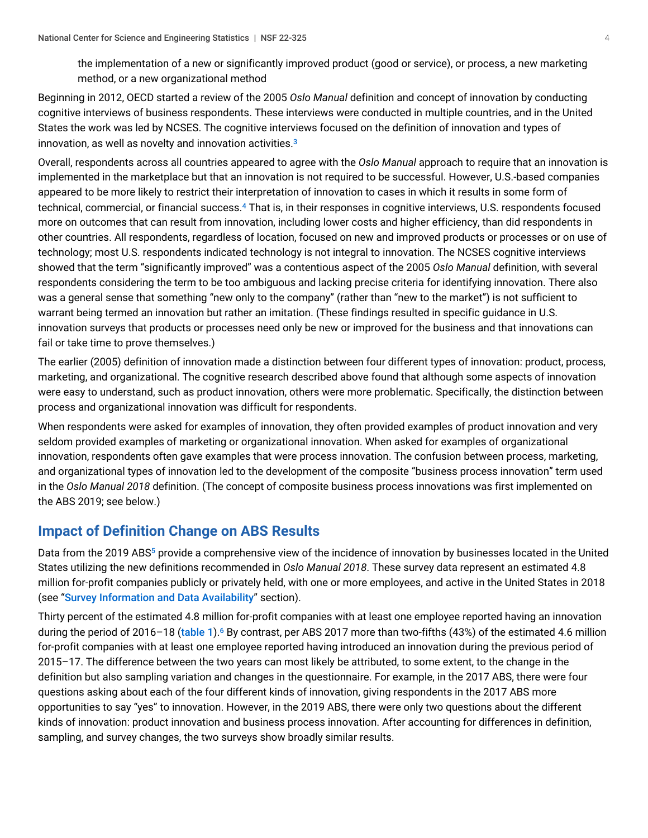<span id="page-3-0"></span>the implementation of a new or significantly improved product (good or service), or process, a new marketing method, or a new organizational method

Beginning in 2012, OECD started a review of the 2005 *Oslo Manual* definition and concept of innovation by conducting cognitive interviews of business respondents. These interviews were conducted in multiple countries, and in the United States the work was led by NCSES. The cognitive interviews focused on the definition of innovation and types of innovation, as well as novelty and innovation activities. [3](#page-10-2)

<span id="page-3-1"></span>Overall, respondents across all countries appeared to agree with the *Oslo Manual* approach to require that an innovation is implemented in the marketplace but that an innovation is not required to be successful. However, U.S.-based companies appeared to be more likely to restrict their interpretation of innovation to cases in which it results in some form of technical, commercial, or financial success.<sup>[4](#page-10-3)</sup> That is, in their responses in cognitive interviews, U.S. respondents focused more on outcomes that can result from innovation, including lower costs and higher efficiency, than did respondents in other countries. All respondents, regardless of location, focused on new and improved products or processes or on use of technology; most U.S. respondents indicated technology is not integral to innovation. The NCSES cognitive interviews showed that the term "significantly improved" was a contentious aspect of the 2005 *Oslo Manual* definition, with several respondents considering the term to be too ambiguous and lacking precise criteria for identifying innovation. There also was a general sense that something "new only to the company" (rather than "new to the market") is not sufficient to warrant being termed an innovation but rather an imitation. (These findings resulted in specific guidance in U.S. innovation surveys that products or processes need only be new or improved for the business and that innovations can fail or take time to prove themselves.)

The earlier (2005) definition of innovation made a distinction between four different types of innovation: product, process, marketing, and organizational. The cognitive research described above found that although some aspects of innovation were easy to understand, such as product innovation, others were more problematic. Specifically, the distinction between process and organizational innovation was difficult for respondents.

When respondents were asked for examples of innovation, they often provided examples of product innovation and very seldom provided examples of marketing or organizational innovation. When asked for examples of organizational innovation, respondents often gave examples that were process innovation. The confusion between process, marketing, and organizational types of innovation led to the development of the composite "business process innovation" term used in the *Oslo Manual 2018* definition. (The concept of composite business process innovations was first implemented on the ABS 2019; see below.)

# **Impact of Definition Change on ABS Results**

<span id="page-3-2"></span>Data from the 2019 ABS<sup>[5](#page-10-4)</sup> provide a comprehensive view of the incidence of innovation by businesses located in the United States utilizing the new definitions recommended in *Oslo Manual 2018*. These survey data represent an estimated 4.8 million for-profit companies publicly or privately held, with one or more employees, and active in the United States in 2018 (see "[Survey Information and Data Availability](#page-10-5)" section).

<span id="page-3-3"></span>Thirty percent of the estimated 4.8 million for-profit companies with at least one employee reported having an innovation during the period of 2016–18 (<mark>[table 1](#page-0-0)</mark>).<sup>[6](#page-11-0)</sup> By contrast, per ABS 2017 more than two-fifths (43%) of the estimated 4.6 million for-profit companies with at least one employee reported having introduced an innovation during the previous period of 2015–17. The difference between the two years can most likely be attributed, to some extent, to the change in the definition but also sampling variation and changes in the questionnaire. For example, in the 2017 ABS, there were four questions asking about each of the four different kinds of innovation, giving respondents in the 2017 ABS more opportunities to say "yes" to innovation. However, in the 2019 ABS, there were only two questions about the different kinds of innovation: product innovation and business process innovation. After accounting for differences in definition, sampling, and survey changes, the two surveys show broadly similar results.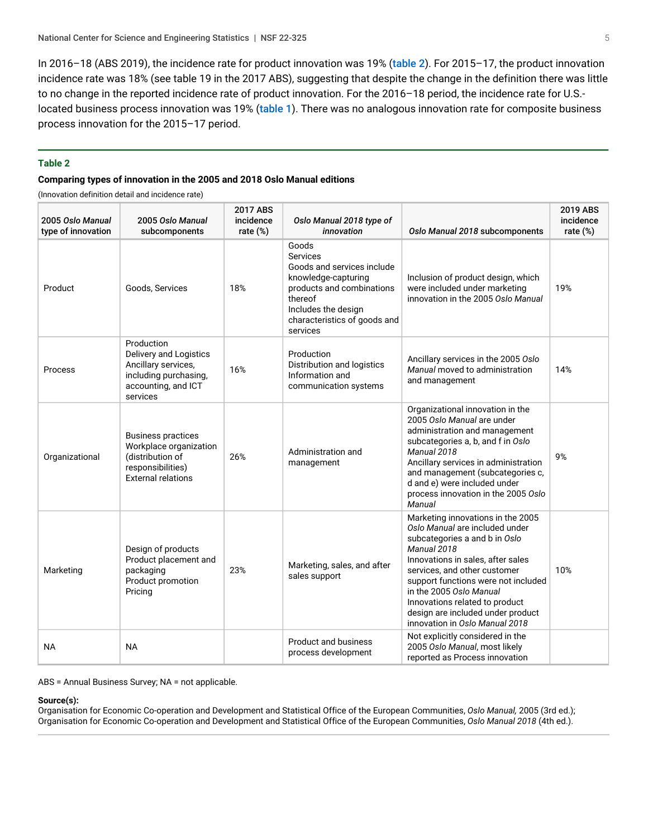In 2016–18 (ABS 2019), the incidence rate for product innovation was 19% ([table 2](#page-4-0)). For 2015–17, the product innovation incidence rate was 18% (see table 19 in the 2017 ABS), suggesting that despite the change in the definition there was little to no change in the reported incidence rate of product innovation. For the 2016–18 period, the incidence rate for U.S. located business process innovation was 19% ([table 1](#page-0-0)). There was no analogous innovation rate for composite business process innovation for the 2015–17 period.

#### <span id="page-4-0"></span>**Table 2**

#### **Comparing types of innovation in the 2005 and 2018 Oslo Manual editions**

(Innovation definition detail and incidence rate)

| 2005 Oslo Manual<br>type of innovation | 2005 Oslo Manual<br>subcomponents                                                                                         | 2017 ABS<br>incidence<br>rate $(\%)$ | Oslo Manual 2018 type of<br>innovation                                                                                                                                            | Oslo Manual 2018 subcomponents                                                                                                                                                                                                                                                                                                                                      | 2019 ABS<br>incidence<br>rate $(\%)$ |
|----------------------------------------|---------------------------------------------------------------------------------------------------------------------------|--------------------------------------|-----------------------------------------------------------------------------------------------------------------------------------------------------------------------------------|---------------------------------------------------------------------------------------------------------------------------------------------------------------------------------------------------------------------------------------------------------------------------------------------------------------------------------------------------------------------|--------------------------------------|
| Product                                | Goods, Services                                                                                                           | 18%                                  | Goods<br>Services<br>Goods and services include<br>knowledge-capturing<br>products and combinations<br>thereof<br>Includes the design<br>characteristics of goods and<br>services | Inclusion of product design, which<br>were included under marketing<br>innovation in the 2005 Oslo Manual                                                                                                                                                                                                                                                           | 19%                                  |
| Process                                | Production<br>Delivery and Logistics<br>Ancillary services,<br>including purchasing,<br>accounting, and ICT<br>services   | 16%                                  | Production<br>Distribution and logistics<br>Information and<br>communication systems                                                                                              | Ancillary services in the 2005 Oslo<br>Manual moved to administration<br>and management                                                                                                                                                                                                                                                                             | 14%                                  |
| Organizational                         | <b>Business practices</b><br>Workplace organization<br>(distribution of<br>responsibilities)<br><b>External relations</b> | 26%                                  | Administration and<br>management                                                                                                                                                  | Organizational innovation in the<br>2005 Oslo Manual are under<br>administration and management<br>subcategories a, b, and f in Oslo<br>Manual 2018<br>Ancillary services in administration<br>and management (subcategories c,<br>d and e) were included under<br>process innovation in the 2005 Oslo<br>Manual                                                    | 9%                                   |
| Marketing                              | Design of products<br>Product placement and<br>packaging<br>Product promotion<br>Pricing                                  | 23%                                  | Marketing, sales, and after<br>sales support                                                                                                                                      | Marketing innovations in the 2005<br>Oslo Manual are included under<br>subcategories a and b in Oslo<br>Manual 2018<br>Innovations in sales, after sales<br>services, and other customer<br>support functions were not included<br>in the 2005 Oslo Manual<br>Innovations related to product<br>design are included under product<br>innovation in Oslo Manual 2018 | 10%                                  |
| <b>NA</b>                              | <b>NA</b>                                                                                                                 |                                      | <b>Product and business</b><br>process development                                                                                                                                | Not explicitly considered in the<br>2005 Oslo Manual, most likely<br>reported as Process innovation                                                                                                                                                                                                                                                                 |                                      |

ABS = Annual Business Survey; NA = not applicable.

#### **Source(s):**

Organisation for Economic Co-operation and Development and Statistical Office of the European Communities, *Oslo Manual,* 2005 (3rd ed.); Organisation for Economic Co-operation and Development and Statistical Office of the European Communities, *Oslo Manual 2018* (4th ed.).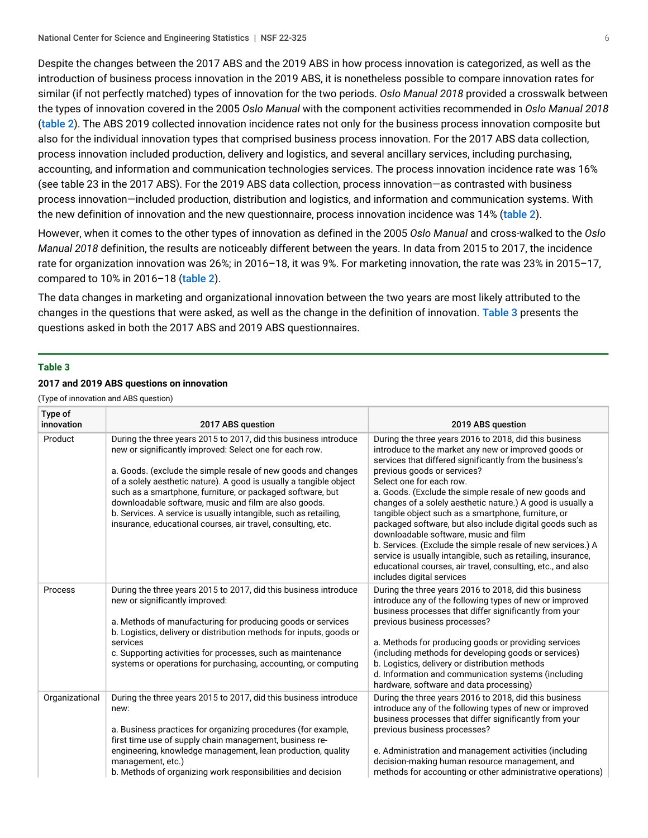Despite the changes between the 2017 ABS and the 2019 ABS in how process innovation is categorized, as well as the introduction of business process innovation in the 2019 ABS, it is nonetheless possible to compare innovation rates for similar (if not perfectly matched) types of innovation for the two periods. *Oslo Manual 2018* provided a crosswalk between the types of innovation covered in the 2005 *Oslo Manual* with the component activities recommended in *Oslo Manual 2018* ([table 2](#page-4-0)). The ABS 2019 collected innovation incidence rates not only for the business process innovation composite but also for the individual innovation types that comprised business process innovation. For the 2017 ABS data collection, process innovation included production, delivery and logistics, and several ancillary services, including purchasing, accounting, and information and communication technologies services. The process innovation incidence rate was 16% (see table 23 in the 2017 ABS). For the 2019 ABS data collection, process innovation—as contrasted with business process innovation—included production, distribution and logistics, and information and communication systems. With the new definition of innovation and the new questionnaire, process innovation incidence was 14% ([table 2](#page-4-0)).

However, when it comes to the other types of innovation as defined in the 2005 *Oslo Manual* and cross-walked to the *Oslo Manual 2018* definition, the results are noticeably different between the years. In data from 2015 to 2017, the incidence rate for organization innovation was 26%; in 2016–18, it was 9%. For marketing innovation, the rate was 23% in 2015–17, compared to 10% in 2016–18 ([table 2](#page-4-0)).

The data changes in marketing and organizational innovation between the two years are most likely attributed to the changes in the questions that were asked, as well as the change in the definition of innovation. [Table 3](#page-5-0) presents the questions asked in both the 2017 ABS and 2019 ABS questionnaires.

#### <span id="page-5-0"></span>**Table 3**

#### **2017 and 2019 ABS questions on innovation**

(Type of innovation and ABS question)

| Type of<br>innovation | 2017 ABS question                                                                                                                                                                                                                                                                                                                                                                                                                                                                                                             | 2019 ABS question                                                                                                                                                                                                                                                                                                                                                                                                                                                                                                                                                                                                                                                                                                                                    |
|-----------------------|-------------------------------------------------------------------------------------------------------------------------------------------------------------------------------------------------------------------------------------------------------------------------------------------------------------------------------------------------------------------------------------------------------------------------------------------------------------------------------------------------------------------------------|------------------------------------------------------------------------------------------------------------------------------------------------------------------------------------------------------------------------------------------------------------------------------------------------------------------------------------------------------------------------------------------------------------------------------------------------------------------------------------------------------------------------------------------------------------------------------------------------------------------------------------------------------------------------------------------------------------------------------------------------------|
| Product               | During the three years 2015 to 2017, did this business introduce<br>new or significantly improved: Select one for each row.<br>a. Goods. (exclude the simple resale of new goods and changes<br>of a solely aesthetic nature). A good is usually a tangible object<br>such as a smartphone, furniture, or packaged software, but<br>downloadable software, music and film are also goods.<br>b. Services. A service is usually intangible, such as retailing,<br>insurance, educational courses, air travel, consulting, etc. | During the three years 2016 to 2018, did this business<br>introduce to the market any new or improved goods or<br>services that differed significantly from the business's<br>previous goods or services?<br>Select one for each row.<br>a. Goods. (Exclude the simple resale of new goods and<br>changes of a solely aesthetic nature.) A good is usually a<br>tangible object such as a smartphone, furniture, or<br>packaged software, but also include digital goods such as<br>downloadable software, music and film<br>b. Services. (Exclude the simple resale of new services.) A<br>service is usually intangible, such as retailing, insurance,<br>educational courses, air travel, consulting, etc., and also<br>includes digital services |
| Process               | During the three years 2015 to 2017, did this business introduce<br>new or significantly improved:<br>a. Methods of manufacturing for producing goods or services<br>b. Logistics, delivery or distribution methods for inputs, goods or<br>services<br>c. Supporting activities for processes, such as maintenance<br>systems or operations for purchasing, accounting, or computing                                                                                                                                         | During the three years 2016 to 2018, did this business<br>introduce any of the following types of new or improved<br>business processes that differ significantly from your<br>previous business processes?<br>a. Methods for producing goods or providing services<br>(including methods for developing goods or services)<br>b. Logistics, delivery or distribution methods<br>d. Information and communication systems (including<br>hardware, software and data processing)                                                                                                                                                                                                                                                                      |
| Organizational        | During the three years 2015 to 2017, did this business introduce<br>new:<br>a. Business practices for organizing procedures (for example,<br>first time use of supply chain management, business re-<br>engineering, knowledge management, lean production, quality<br>management, etc.)<br>b. Methods of organizing work responsibilities and decision                                                                                                                                                                       | During the three years 2016 to 2018, did this business<br>introduce any of the following types of new or improved<br>business processes that differ significantly from your<br>previous business processes?<br>e. Administration and management activities (including<br>decision-making human resource management, and<br>methods for accounting or other administrative operations)                                                                                                                                                                                                                                                                                                                                                                |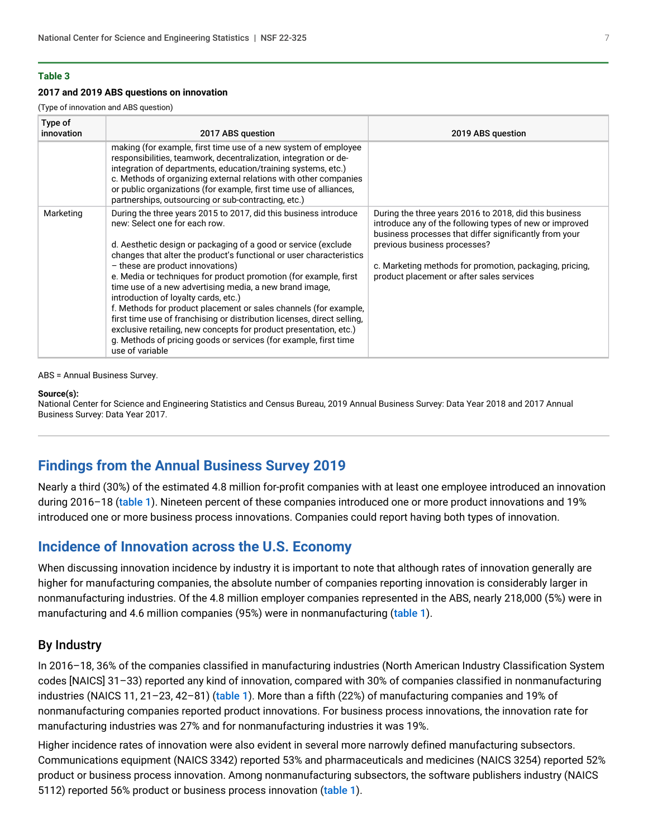#### **2017 and 2019 ABS questions on innovation**

(Type of innovation and ABS question)

| Type of<br>innovation | 2017 ABS question                                                                                                                                                                                                                                                                                                                                                                                                                                                                                                                                                                                                                                                                                                                                                | 2019 ABS question                                                                                                                                                                                                                                                                                                   |
|-----------------------|------------------------------------------------------------------------------------------------------------------------------------------------------------------------------------------------------------------------------------------------------------------------------------------------------------------------------------------------------------------------------------------------------------------------------------------------------------------------------------------------------------------------------------------------------------------------------------------------------------------------------------------------------------------------------------------------------------------------------------------------------------------|---------------------------------------------------------------------------------------------------------------------------------------------------------------------------------------------------------------------------------------------------------------------------------------------------------------------|
|                       | making (for example, first time use of a new system of employee<br>responsibilities, teamwork, decentralization, integration or de-<br>integration of departments, education/training systems, etc.)<br>c. Methods of organizing external relations with other companies<br>or public organizations (for example, first time use of alliances,<br>partnerships, outsourcing or sub-contracting, etc.)                                                                                                                                                                                                                                                                                                                                                            |                                                                                                                                                                                                                                                                                                                     |
| Marketing             | During the three years 2015 to 2017, did this business introduce<br>new: Select one for each row.<br>d. Aesthetic design or packaging of a good or service (exclude<br>changes that alter the product's functional or user characteristics<br>- these are product innovations)<br>e. Media or techniques for product promotion (for example, first<br>time use of a new advertising media, a new brand image.<br>introduction of loyalty cards, etc.)<br>f. Methods for product placement or sales channels (for example,<br>first time use of franchising or distribution licenses, direct selling,<br>exclusive retailing, new concepts for product presentation, etc.)<br>g. Methods of pricing goods or services (for example, first time<br>use of variable | During the three years 2016 to 2018, did this business<br>introduce any of the following types of new or improved<br>business processes that differ significantly from your<br>previous business processes?<br>c. Marketing methods for promotion, packaging, pricing,<br>product placement or after sales services |

ABS = Annual Business Survey.

#### **Source(s):**

National Center for Science and Engineering Statistics and Census Bureau, 2019 Annual Business Survey: Data Year 2018 and 2017 Annual Business Survey: Data Year 2017.

## **Findings from the Annual Business Survey 2019**

Nearly a third (30%) of the estimated 4.8 million for-profit companies with at least one employee introduced an innovation during 2016–18 ([table 1](#page-0-0)). Nineteen percent of these companies introduced one or more product innovations and 19% introduced one or more business process innovations. Companies could report having both types of innovation.

### **Incidence of Innovation across the U.S. Economy**

When discussing innovation incidence by industry it is important to note that although rates of innovation generally are higher for manufacturing companies, the absolute number of companies reporting innovation is considerably larger in nonmanufacturing industries. Of the 4.8 million employer companies represented in the ABS, nearly 218,000 (5%) were in manufacturing and 4.6 million companies (95%) were in nonmanufacturing ([table 1](#page-0-0)).

### By Industry

In 2016–18, 36% of the companies classified in manufacturing industries (North American Industry Classification System codes [NAICS] 31–33) reported any kind of innovation, compared with 30% of companies classified in nonmanufacturing industries (NAICS 11, 21–23, 42–81) ([table 1](#page-0-0)). More than a fifth (22%) of manufacturing companies and 19% of nonmanufacturing companies reported product innovations. For business process innovations, the innovation rate for manufacturing industries was 27% and for nonmanufacturing industries it was 19%.

Higher incidence rates of innovation were also evident in several more narrowly defined manufacturing subsectors. Communications equipment (NAICS 3342) reported 53% and pharmaceuticals and medicines (NAICS 3254) reported 52% product or business process innovation. Among nonmanufacturing subsectors, the software publishers industry (NAICS 5112) reported 56% product or business process innovation ([table 1](#page-0-0)).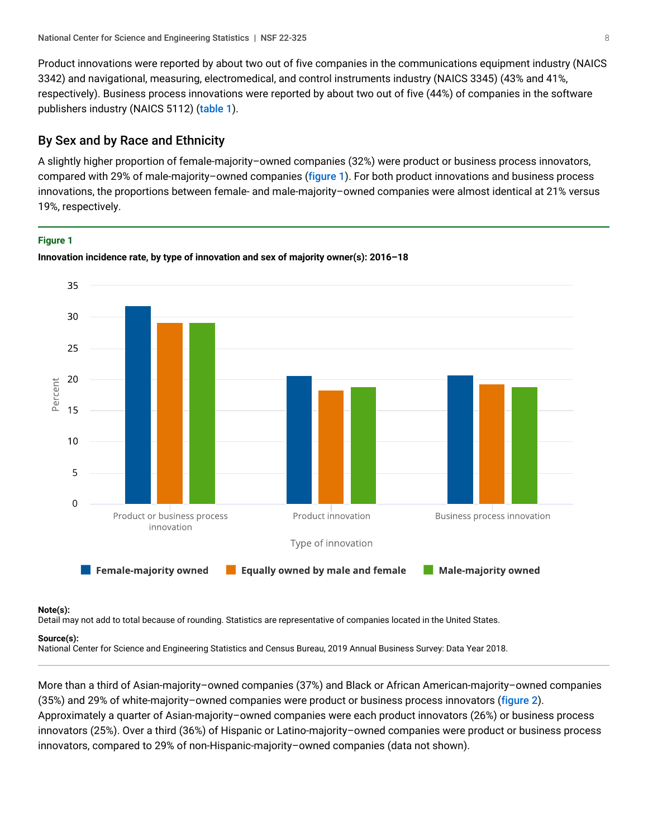Product innovations were reported by about two out of five companies in the communications equipment industry (NAICS 3342) and navigational, measuring, electromedical, and control instruments industry (NAICS 3345) (43% and 41%, respectively). Business process innovations were reported by about two out of five (44%) of companies in the software publishers industry (NAICS 5112) ([table 1](#page-0-0)).

### By Sex and by Race and Ethnicity

A slightly higher proportion of female-majority–owned companies (32%) were product or business process innovators, compared with 29% of male-majority–owned companies ([figure 1](#page-7-0)). For both product innovations and business process innovations, the proportions between female- and male-majority–owned companies were almost identical at 21% versus 19%, respectively.

#### <span id="page-7-0"></span>**Figure 1**



**Innovation incidence rate, by type of innovation and sex of majority owner(s): 2016–18**

#### **Note(s):**

Detail may not add to total because of rounding. Statistics are representative of companies located in the United States.

#### **Source(s):**

National Center for Science and Engineering Statistics and Census Bureau, 2019 Annual Business Survey: Data Year 2018.

More than a third of Asian-majority–owned companies (37%) and Black or African American-majority–owned companies (35%) and 29% of white-majority–owned companies were product or business process innovators ([figure 2](#page-8-0)). Approximately a quarter of Asian-majority–owned companies were each product innovators (26%) or business process innovators (25%). Over a third (36%) of Hispanic or Latino-majority–owned companies were product or business process innovators, compared to 29% of non-Hispanic-majority–owned companies (data not shown).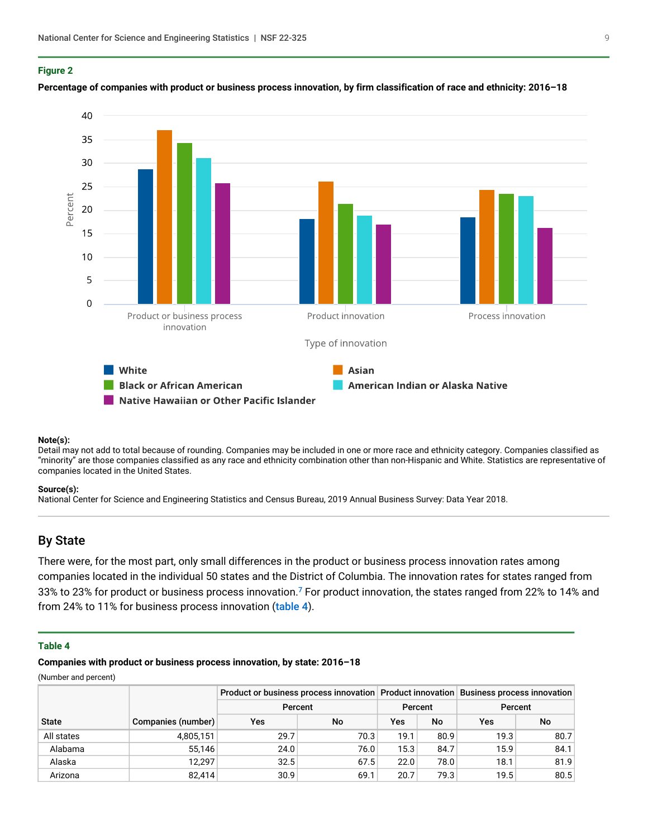#### <span id="page-8-0"></span>**Figure 2**



#### **Percentage of companies with product or business process innovation, by firm classification of race and ethnicity: 2016–18**

#### **Note(s):**

Detail may not add to total because of rounding. Companies may be included in one or more race and ethnicity category. Companies classified as "minority" are those companies classified as any race and ethnicity combination other than non-Hispanic and White. Statistics are representative of companies located in the United States.

#### **Source(s):**

National Center for Science and Engineering Statistics and Census Bureau, 2019 Annual Business Survey: Data Year 2018.

### By State

<span id="page-8-2"></span>There were, for the most part, only small differences in the product or business process innovation rates among companies located in the individual 50 states and the District of Columbia. The innovation rates for states ranged from 33% to 23% for product or business process innovation.<sup>[7](#page-11-1)</sup> For product innovation, the states ranged from 22% to 14% and from 24% to 11% for business process innovation ([table 4](#page-8-1)).

#### <span id="page-8-1"></span>**Table 4**

**Companies with product or business process innovation, by state: 2016–18**

|              |                    |         |         |      | Product or business process innovation Product innovation Business process innovation |      |      |  |
|--------------|--------------------|---------|---------|------|---------------------------------------------------------------------------------------|------|------|--|
|              |                    | Percent | Percent |      | Percent                                                                               |      |      |  |
| <b>State</b> | Companies (number) | Yes     | No      | Yes  | No                                                                                    | Yes  | No   |  |
| All states   | 4,805,151          | 29.7    | 70.3    | 19.1 | 80.9                                                                                  | 19.3 | 80.7 |  |
| Alabama      | 55.146             | 24.0    | 76.0    | 15.3 | 84.7                                                                                  | 15.9 | 84.1 |  |
| Alaska       | 12.297             | 32.5    | 67.5    | 22.0 | 78.0                                                                                  | 18.1 | 81.9 |  |
| Arizona      | 82,414             | 30.9    | 69.1    | 20.7 | 79.3                                                                                  | 19.5 | 80.5 |  |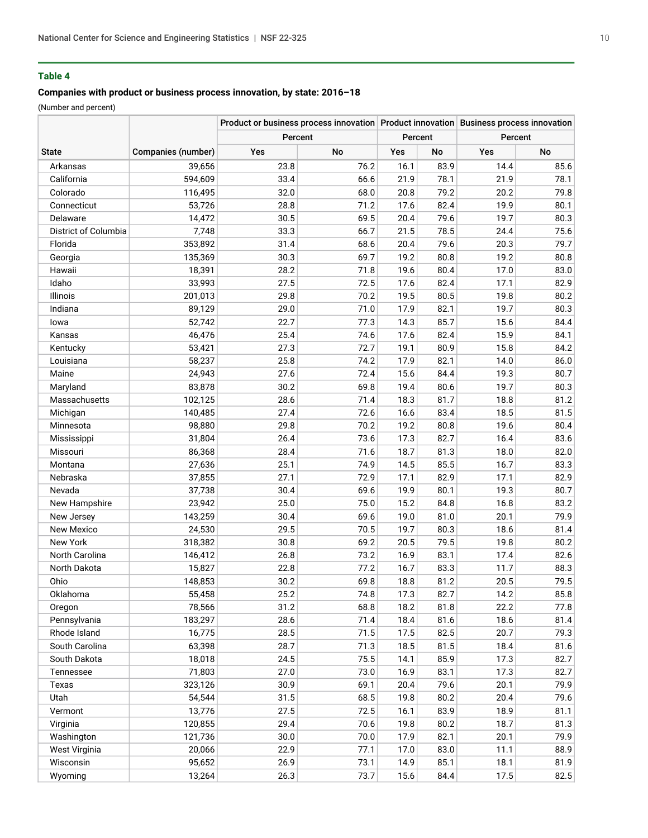#### **Companies with product or business process innovation, by state: 2016–18**

|                      |                    |         |      |         | Product or business process innovation Product innovation Business process innovation |         |      |
|----------------------|--------------------|---------|------|---------|---------------------------------------------------------------------------------------|---------|------|
|                      |                    | Percent |      | Percent |                                                                                       | Percent |      |
| <b>State</b>         | Companies (number) | Yes     | No   | Yes     | No                                                                                    | Yes     | No   |
| Arkansas             | 39,656             | 23.8    | 76.2 | 16.1    | 83.9                                                                                  | 14.4    | 85.6 |
| California           | 594,609            | 33.4    | 66.6 | 21.9    | 78.1                                                                                  | 21.9    | 78.1 |
| Colorado             | 116,495            | 32.0    | 68.0 | 20.8    | 79.2                                                                                  | 20.2    | 79.8 |
| Connecticut          | 53,726             | 28.8    | 71.2 | 17.6    | 82.4                                                                                  | 19.9    | 80.1 |
| Delaware             | 14,472             | 30.5    | 69.5 | 20.4    | 79.6                                                                                  | 19.7    | 80.3 |
| District of Columbia | 7,748              | 33.3    | 66.7 | 21.5    | 78.5                                                                                  | 24.4    | 75.6 |
| Florida              | 353,892            | 31.4    | 68.6 | 20.4    | 79.6                                                                                  | 20.3    | 79.7 |
| Georgia              | 135,369            | 30.3    | 69.7 | 19.2    | 80.8                                                                                  | 19.2    | 80.8 |
| Hawaii               | 18,391             | 28.2    | 71.8 | 19.6    | 80.4                                                                                  | 17.0    | 83.0 |
| Idaho                | 33,993             | 27.5    | 72.5 | 17.6    | 82.4                                                                                  | 17.1    | 82.9 |
| Illinois             | 201,013            | 29.8    | 70.2 | 19.5    | 80.5                                                                                  | 19.8    | 80.2 |
| Indiana              | 89,129             | 29.0    | 71.0 | 17.9    | 82.1                                                                                  | 19.7    | 80.3 |
| lowa                 | 52,742             | 22.7    | 77.3 | 14.3    | 85.7                                                                                  | 15.6    | 84.4 |
| Kansas               | 46,476             | 25.4    | 74.6 | 17.6    | 82.4                                                                                  | 15.9    | 84.1 |
| Kentucky             | 53,421             | 27.3    | 72.7 | 19.1    | 80.9                                                                                  | 15.8    | 84.2 |
| Louisiana            | 58,237             | 25.8    | 74.2 | 17.9    | 82.1                                                                                  | 14.0    | 86.0 |
| Maine                | 24,943             | 27.6    | 72.4 | 15.6    | 84.4                                                                                  | 19.3    | 80.7 |
| Maryland             | 83,878             | 30.2    | 69.8 | 19.4    | 80.6                                                                                  | 19.7    | 80.3 |
| Massachusetts        | 102,125            | 28.6    | 71.4 | 18.3    | 81.7                                                                                  | 18.8    | 81.2 |
| Michigan             | 140,485            | 27.4    | 72.6 | 16.6    | 83.4                                                                                  | 18.5    | 81.5 |
| Minnesota            | 98,880             | 29.8    | 70.2 | 19.2    | 80.8                                                                                  | 19.6    | 80.4 |
| Mississippi          | 31,804             | 26.4    | 73.6 | 17.3    | 82.7                                                                                  | 16.4    | 83.6 |
| Missouri             | 86,368             | 28.4    | 71.6 | 18.7    | 81.3                                                                                  | 18.0    | 82.0 |
| Montana              | 27,636             | 25.1    | 74.9 | 14.5    | 85.5                                                                                  | 16.7    | 83.3 |
| Nebraska             | 37,855             | 27.1    | 72.9 | 17.1    | 82.9                                                                                  | 17.1    | 82.9 |
| Nevada               | 37,738             | 30.4    | 69.6 | 19.9    | 80.1                                                                                  | 19.3    | 80.7 |
| New Hampshire        | 23,942             | 25.0    | 75.0 | 15.2    | 84.8                                                                                  | 16.8    | 83.2 |
| New Jersey           | 143,259            | 30.4    | 69.6 | 19.0    | 81.0                                                                                  | 20.1    | 79.9 |
| New Mexico           | 24,530             | 29.5    | 70.5 | 19.7    | 80.3                                                                                  | 18.6    | 81.4 |
| New York             | 318,382            | 30.8    | 69.2 | 20.5    | 79.5                                                                                  | 19.8    | 80.2 |
| North Carolina       | 146,412            | 26.8    | 73.2 | 16.9    | 83.1                                                                                  | 17.4    | 82.6 |
| North Dakota         | 15,827             | 22.8    | 77.2 | 16.7    | 83.3                                                                                  | 11.7    | 88.3 |
| Ohio                 | 148,853            | 30.2    | 69.8 | 18.8    | 81.2                                                                                  | 20.5    | 79.5 |
| Oklahoma             | 55,458             | 25.2    | 74.8 | 17.3    | 82.7                                                                                  | 14.2    | 85.8 |
| Oregon               | 78,566             | 31.2    | 68.8 | 18.2    | 81.8                                                                                  | 22.2    | 77.8 |
| Pennsylvania         | 183,297            | 28.6    | 71.4 | 18.4    | 81.6                                                                                  | 18.6    | 81.4 |
| Rhode Island         | 16,775             | 28.5    | 71.5 | 17.5    | 82.5                                                                                  | 20.7    | 79.3 |
| South Carolina       | 63,398             | 28.7    | 71.3 | 18.5    | 81.5                                                                                  | 18.4    | 81.6 |
| South Dakota         | 18,018             | 24.5    | 75.5 | 14.1    | 85.9                                                                                  | 17.3    | 82.7 |
| Tennessee            | 71,803             | 27.0    | 73.0 | 16.9    | 83.1                                                                                  | 17.3    | 82.7 |
| Texas                | 323,126            | 30.9    | 69.1 | 20.4    | 79.6                                                                                  | 20.1    | 79.9 |
| Utah                 | 54,544             | 31.5    | 68.5 | 19.8    | 80.2                                                                                  | 20.4    | 79.6 |
| Vermont              | 13,776             | 27.5    | 72.5 | 16.1    | 83.9                                                                                  | 18.9    | 81.1 |
| Virginia             | 120,855            | 29.4    | 70.6 | 19.8    | 80.2                                                                                  | 18.7    | 81.3 |
| Washington           | 121,736            | 30.0    | 70.0 | 17.9    | 82.1                                                                                  | 20.1    | 79.9 |
| West Virginia        | 20,066             | 22.9    | 77.1 | 17.0    | 83.0                                                                                  | 11.1    | 88.9 |
| Wisconsin            | 95,652             | 26.9    | 73.1 | 14.9    | 85.1                                                                                  | 18.1    | 81.9 |
| Wyoming              | 13,264             | 26.3    | 73.7 | 15.6    | 84.4                                                                                  | 17.5    | 82.5 |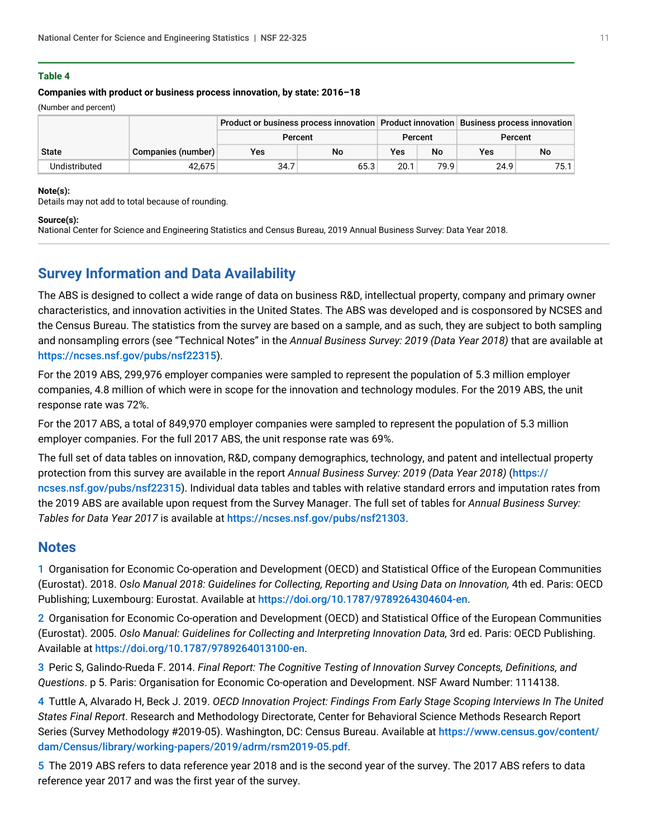#### **Companies with product or business process innovation, by state: 2016–18**

(Number and percent)

|               | Product or business process innovation Product innovation Business process innovation |         |         |      |      |         |      |  |  |
|---------------|---------------------------------------------------------------------------------------|---------|---------|------|------|---------|------|--|--|
|               |                                                                                       | Percent | Percent |      |      | Percent |      |  |  |
| <b>State</b>  | Companies (number)                                                                    | Yes     | No      | Yes  | No   | Yes     | No   |  |  |
| Undistributed | 42.675                                                                                | 34.7    | 65.3    | 20.1 | 79.9 | 24.9    | 75.1 |  |  |

#### **Note(s):**

Details may not add to total because of rounding.

#### **Source(s):**

National Center for Science and Engineering Statistics and Census Bureau, 2019 Annual Business Survey: Data Year 2018.

# <span id="page-10-5"></span>**Survey Information and Data Availability**

The ABS is designed to collect a wide range of data on business R&D, intellectual property, company and primary owner characteristics, and innovation activities in the United States. The ABS was developed and is cosponsored by NCSES and the Census Bureau. The statistics from the survey are based on a sample, and as such, they are subject to both sampling and nonsampling errors (see "Technical Notes" in the *Annual Business Survey: 2019 (Data Year 2018)* that are available at <https://ncses.nsf.gov/pubs/nsf22315>).

For the 2019 ABS, 299,976 employer companies were sampled to represent the population of 5.3 million employer companies, 4.8 million of which were in scope for the innovation and technology modules. For the 2019 ABS, the unit response rate was 72%.

For the 2017 ABS, a total of 849,970 employer companies were sampled to represent the population of 5.3 million employer companies. For the full 2017 ABS, the unit response rate was 69%.

The full set of data tables on innovation, R&D, company demographics, technology, and patent and intellectual property protection from this survey are available in the report *Annual Business Survey: 2019 (Data Year 2018)* ([https://](https://ncses.nsf.gov/pubs/nsf22315) [ncses.nsf.gov/pubs/nsf22315](https://ncses.nsf.gov/pubs/nsf22315)). Individual data tables and tables with relative standard errors and imputation rates from the 2019 ABS are available upon request from the Survey Manager. The full set of tables for *Annual Business Survey: Tables for Data Year 2017* is available at <https://ncses.nsf.gov/pubs/nsf21303>.

### **Notes**

<span id="page-10-0"></span>[1](#page-0-1) Organisation for Economic Co-operation and Development (OECD) and Statistical Office of the European Communities (Eurostat). 2018. *Oslo Manual 2018: Guidelines for Collecting, Reporting and Using Data on Innovation,* 4th ed. Paris: OECD Publishing; Luxembourg: Eurostat. Available at [https://doi.org/10.1787/9789264304604-en](https://www.nsf.gov/cgi-bin/goodbye?https://doi.org/10.1787/9789264304604-en).

<span id="page-10-1"></span>[2](#page-2-0) Organisation for Economic Co-operation and Development (OECD) and Statistical Office of the European Communities (Eurostat). 2005. *Oslo Manual: Guidelines for Collecting and Interpreting Innovation Data,* 3rd ed. Paris: OECD Publishing. Available at [https://doi.org/10.1787/9789264013100-en](https://www.nsf.gov/cgi-bin/goodbye?https://doi.org/10.1787/9789264013100-en).

<span id="page-10-2"></span>[3](#page-3-0) Peric S, Galindo-Rueda F. 2014. *Final Report: The Cognitive Testing of Innovation Survey Concepts, Definitions, and Questions*. p 5. Paris: Organisation for Economic Co-operation and Development. NSF Award Number: 1114138.

<span id="page-10-3"></span>[4](#page-3-1) Tuttle A, Alvarado H, Beck J. 2019. *OECD Innovation Project: Findings From Early Stage Scoping Interviews In The United States Final Report*. Research and Methodology Directorate, Center for Behavioral Science Methods Research Report Series (Survey Methodology #2019-05). Washington, DC: Census Bureau. Available at [https://www.census.gov/content/](https://www.census.gov/content/dam/Census/library/working-papers/2019/adrm/rsm2019-05.pdf) [dam/Census/library/working-papers/2019/adrm/rsm2019-05.pdf](https://www.census.gov/content/dam/Census/library/working-papers/2019/adrm/rsm2019-05.pdf).

<span id="page-10-4"></span>[5](#page-3-2) The 2019 ABS refers to data reference year 2018 and is the second year of the survey. The 2017 ABS refers to data reference year 2017 and was the first year of the survey.